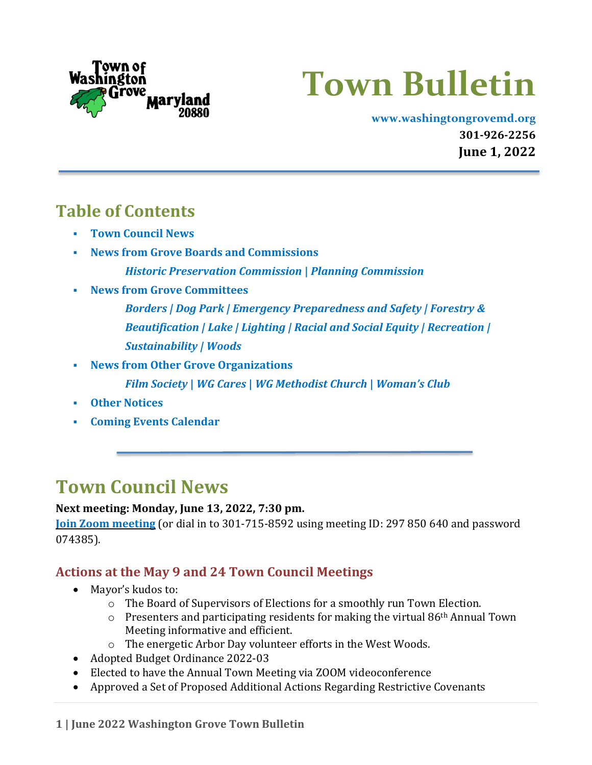

# **Town Bulletin**

**[www.washingtongrovemd.org](http://www.washingtongrovemd.org/) 301-926-2256 June 1, 2022**

## <span id="page-0-1"></span>**Table of Contents**

- **Town [Council](#page-0-0) News**
- **News from Grove Boards and [Commissions](#page-2-0)** *[Historic Preservation Commission](#page-2-1)* **|** *Planning [Commission](#page-4-0)*
- **News from Grove [Committees](#page-5-0)**
	- *[Borders](#page-5-1) | Dog [Park](#page-6-0) | Emergency [Preparedness and Safety |](#page-6-1) [Forestry &](#page-7-0)  [Beautification](#page-7-0) | [Lake](#page-7-1) | [Lighting](#page-8-0) | [Racial and Social](#page-9-0) Equity | [Recreation](#page-9-1) | [Sustainability](#page-11-0) | [Woods](#page-13-0)*
- **News from Other Grove [Organizations](#page-14-0)**

*Film [Society](#page-14-1)* **|** *[WG Cares](#page-14-2)* **|** *[WG Methodist Church](#page-14-3)* **|** *[Woman's Club](#page-15-0)*

- **Other [Notices](#page-17-0)**
- **Coming Events [Calendar](#page-17-1)**

## <span id="page-0-0"></span>**Town Council News**

#### **Next meeting: Monday, June 13, 2022, 7:30 pm.**

**Join Zoom [meeting](https://us02web.zoom.us/j/297850640?pwd=czh3ODBEdEpTeXdkRTc5bDFmLzN2UT09)** (or dial in to 301-715-8592 using meeting ID: 297 850 640 and password 074385).

#### **Actions at the May 9 and 24 Town Council Meetings**

- Mayor's kudos to:
	- $\circ$  The Board of Supervisors of Elections for a smoothly run Town Election.
	- $\circ$  Presenters and participating residents for making the virtual 86<sup>th</sup> Annual Town Meeting informative and efficient.
	- o The energetic Arbor Day volunteer efforts in the West Woods.
- Adopted Budget Ordinance 2022-03
- Elected to have the Annual Town Meeting via ZOOM videoconference
- Approved a Set of Proposed Additional Actions Regarding Restrictive Covenants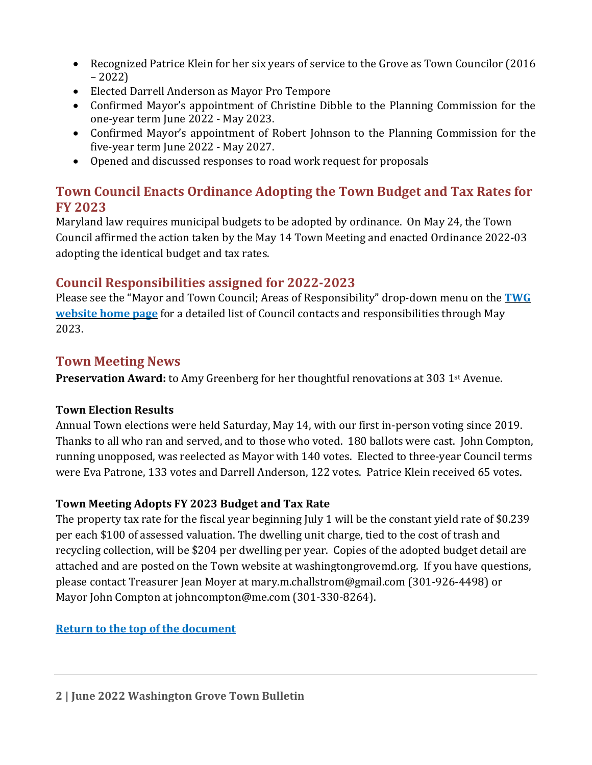- Recognized Patrice Klein for her six years of service to the Grove as Town Councilor (2016 – 2022)
- Elected Darrell Anderson as Mayor Pro Tempore
- Confirmed Mayor's appointment of Christine Dibble to the Planning Commission for the one-year term June 2022 - May 2023.
- Confirmed Mayor's appointment of Robert Johnson to the Planning Commission for the five-year term June 2022 - May 2027.
- Opened and discussed responses to road work request for proposals

#### **Town Council Enacts Ordinance Adopting the Town Budget and Tax Rates for FY 2023**

Maryland law requires municipal budgets to be adopted by ordinance. On May 24, the Town Council affirmed the action taken by the May 14 Town Meeting and enacted Ordinance 2022-03 adopting the identical budget and tax rates.

#### **Council Responsibilities assigned for 2022-2023**

Please see the "Mayor and Town Council; Areas of Responsibility" drop-down menu on the **[TWG](https://washingtongrovemd.org/) [website home page](https://washingtongrovemd.org/)** for a detailed list of Council contacts and responsibilities through May 2023.

#### **Town Meeting News**

**Preservation Award:** to Amy Greenberg for her thoughtful renovations at 303 1st Avenue.

#### **Town Election Results**

Annual Town elections were held Saturday, May 14, with our first in-person voting since 2019. Thanks to all who ran and served, and to those who voted. 180 ballots were cast. John Compton, running unopposed, was reelected as Mayor with 140 votes. Elected to three-year Council terms were Eva Patrone, 133 votes and Darrell Anderson, 122 votes. Patrice Klein received 65 votes.

#### **Town Meeting Adopts FY 2023 Budget and Tax Rate**

The property tax rate for the fiscal year beginning July 1 will be the constant yield rate of \$0.239 per each \$100 of assessed valuation. The dwelling unit charge, tied to the cost of trash and recycling collection, will be \$204 per dwelling per year. Copies of the adopted budget detail are attached and are posted on the Town website at washingtongrovemd.org. If you have questions, please contact Treasurer Jean Moyer at mary.m.challstrom@gmail.com (301-926-4498) or Mayor John Compton at johncompton@me.com (301-330-8264).

#### **[Return to the top of the document](#page-0-1)**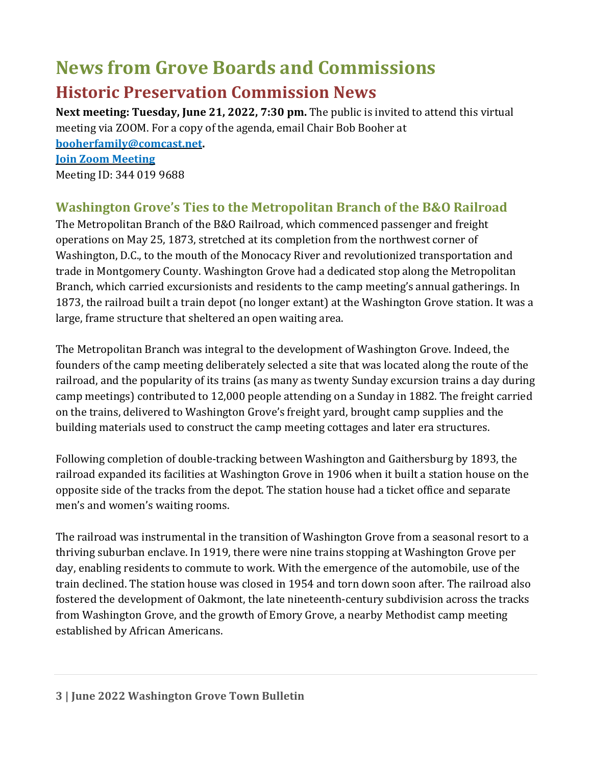# <span id="page-2-0"></span>**News from Grove Boards and Commissions**

## <span id="page-2-1"></span>**Historic Preservation Commission News**

**Next meeting: Tuesday, June 21, 2022, 7:30 pm.** The public is invited to attend this virtual meeting via ZOOM. For a copy of the agenda, email Chair Bob Booher at

**[booherfamily@comcast.net.](mailto:booherfamily@comcast.net) Join Zoom [Meeting](https://us02web.zoom.us/j/3440199688)** Meeting ID: 344 019 9688

#### **Washington Grove's Ties to the Metropolitan Branch of the B&O Railroad**

The Metropolitan Branch of the B&O Railroad, which commenced passenger and freight operations on May 25, 1873, stretched at its completion from the northwest corner of Washington, D.C., to the mouth of the Monocacy River and revolutionized transportation and trade in Montgomery County. Washington Grove had a dedicated stop along the Metropolitan Branch, which carried excursionists and residents to the camp meeting's annual gatherings. In 1873, the railroad built a train depot (no longer extant) at the Washington Grove station. It was a large, frame structure that sheltered an open waiting area.

The Metropolitan Branch was integral to the development of Washington Grove. Indeed, the founders of the camp meeting deliberately selected a site that was located along the route of the railroad, and the popularity of its trains (as many as twenty Sunday excursion trains a day during camp meetings) contributed to 12,000 people attending on a Sunday in 1882. The freight carried on the trains, delivered to Washington Grove's freight yard, brought camp supplies and the building materials used to construct the camp meeting cottages and later era structures.

Following completion of double-tracking between Washington and Gaithersburg by 1893, the railroad expanded its facilities at Washington Grove in 1906 when it built a station house on the opposite side of the tracks from the depot. The station house had a ticket office and separate men's and women's waiting rooms.

The railroad was instrumental in the transition of Washington Grove from a seasonal resort to a thriving suburban enclave. In 1919, there were nine trains stopping at Washington Grove per day, enabling residents to commute to work. With the emergence of the automobile, use of the train declined. The station house was closed in 1954 and torn down soon after. The railroad also fostered the development of Oakmont, the late nineteenth-century subdivision across the tracks from Washington Grove, and the growth of Emory Grove, a nearby Methodist camp meeting established by African Americans.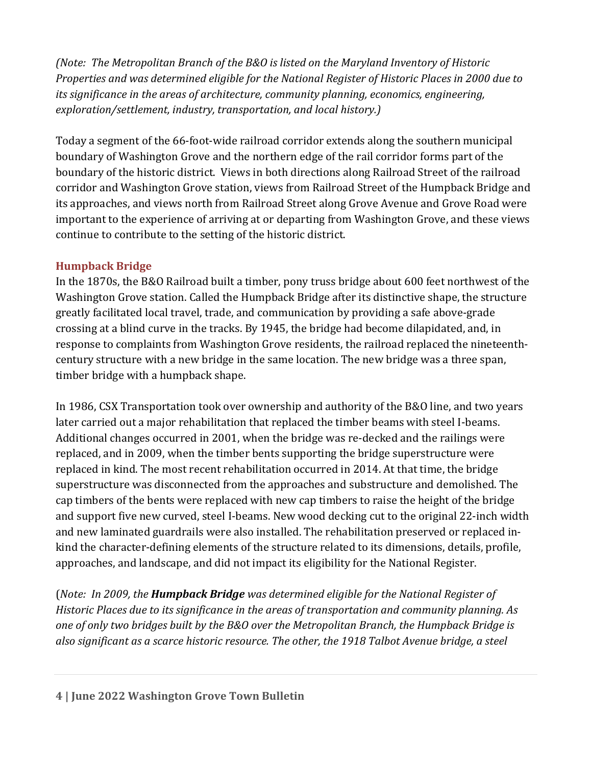*(Note: The Metropolitan Branch of the B&O is listed on the Maryland Inventory of Historic Properties and was determined eligible for the National Register of Historic Places in 2000 due to its significance in the areas of architecture, community planning, economics, engineering, exploration/settlement, industry, transportation, and local history.)*

Today a segment of the 66-foot-wide railroad corridor extends along the southern municipal boundary of Washington Grove and the northern edge of the rail corridor forms part of the boundary of the historic district. Views in both directions along Railroad Street of the railroad corridor and Washington Grove station, views from Railroad Street of the Humpback Bridge and its approaches, and views north from Railroad Street along Grove Avenue and Grove Road were important to the experience of arriving at or departing from Washington Grove, and these views continue to contribute to the setting of the historic district.

#### **Humpback Bridge**

In the 1870s, the B&O Railroad built a timber, pony truss bridge about 600 feet northwest of the Washington Grove station. Called the Humpback Bridge after its distinctive shape, the structure greatly facilitated local travel, trade, and communication by providing a safe above-grade crossing at a blind curve in the tracks. By 1945, the bridge had become dilapidated, and, in response to complaints from Washington Grove residents, the railroad replaced the nineteenthcentury structure with a new bridge in the same location. The new bridge was a three span, timber bridge with a humpback shape.

In 1986, CSX Transportation took over ownership and authority of the B&O line, and two years later carried out a major rehabilitation that replaced the timber beams with steel I-beams. Additional changes occurred in 2001, when the bridge was re-decked and the railings were replaced, and in 2009, when the timber bents supporting the bridge superstructure were replaced in kind. The most recent rehabilitation occurred in 2014. At that time, the bridge superstructure was disconnected from the approaches and substructure and demolished. The cap timbers of the bents were replaced with new cap timbers to raise the height of the bridge and support five new curved, steel I-beams. New wood decking cut to the original 22-inch width and new laminated guardrails were also installed. The rehabilitation preserved or replaced inkind the character-defining elements of the structure related to its dimensions, details, profile, approaches, and landscape, and did not impact its eligibility for the National Register.

(*Note: In 2009, the Humpback Bridge was determined eligible for the National Register of Historic Places due to its significance in the areas of transportation and community planning. As one of only two bridges built by the B&O over the Metropolitan Branch, the Humpback Bridge is also significant as a scarce historic resource. The other, the 1918 Talbot Avenue bridge, a steel*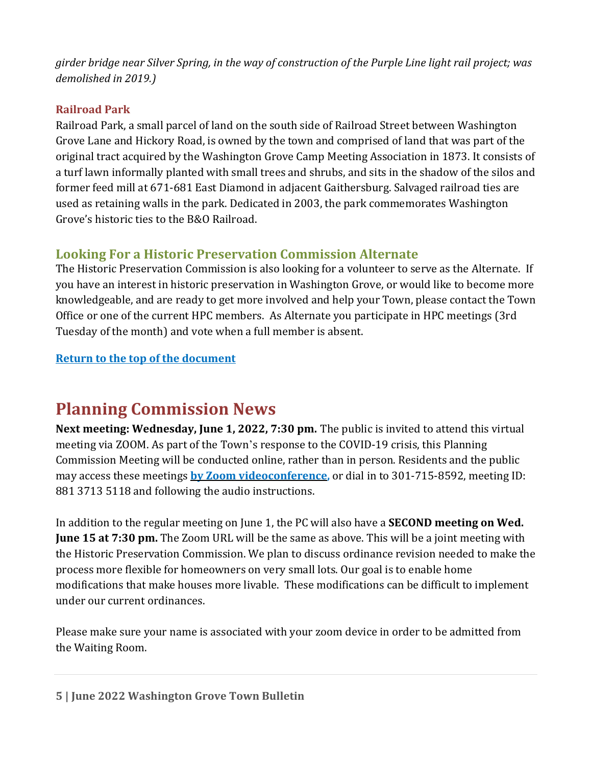*girder bridge near Silver Spring, in the way of construction of the Purple Line light rail project; was demolished in 2019.)*

#### **Railroad Park**

Railroad Park, a small parcel of land on the south side of Railroad Street between Washington Grove Lane and Hickory Road, is owned by the town and comprised of land that was part of the original tract acquired by the Washington Grove Camp Meeting Association in 1873. It consists of a turf lawn informally planted with small trees and shrubs, and sits in the shadow of the silos and former feed mill at 671-681 East Diamond in adjacent Gaithersburg. Salvaged railroad ties are used as retaining walls in the park. Dedicated in 2003, the park commemorates Washington Grove's historic ties to the B&O Railroad.

#### **Looking For a Historic Preservation Commission Alternate**

The Historic Preservation Commission is also looking for a volunteer to serve as the Alternate. If you have an interest in historic preservation in Washington Grove, or would like to become more knowledgeable, and are ready to get more involved and help your Town, please contact the Town Office or one of the current HPC members. As Alternate you participate in HPC meetings (3rd Tuesday of the month) and vote when a full member is absent.

#### **[Return to the top of the document](#page-0-1)**

## <span id="page-4-0"></span>**Planning Commission News**

**Next meeting: Wednesday, June 1, 2022, 7:30 pm.** The public is invited to attend this virtual meeting via ZOOM. As part of the Town's response to the COVID-19 crisis, this Planning Commission Meeting will be conducted online, rather than in person. Residents and the public may access these meetings **by Zoom [videoconference,](https://us02web.zoom.us/j/88137135118)** or dial in to 301-715-8592, meeting ID: 881 3713 5118 and following the audio instructions.

In addition to the regular meeting on June 1, the PC will also have a **SECOND meeting on Wed. June 15 at 7:30 pm.** The Zoom URL will be the same as above. This will be a joint meeting with the Historic Preservation Commission. We plan to discuss ordinance revision needed to make the process more flexible for homeowners on very small lots. Our goal is to enable home modifications that make houses more livable. These modifications can be difficult to implement under our current ordinances.

Please make sure your name is associated with your zoom device in order to be admitted from the Waiting Room.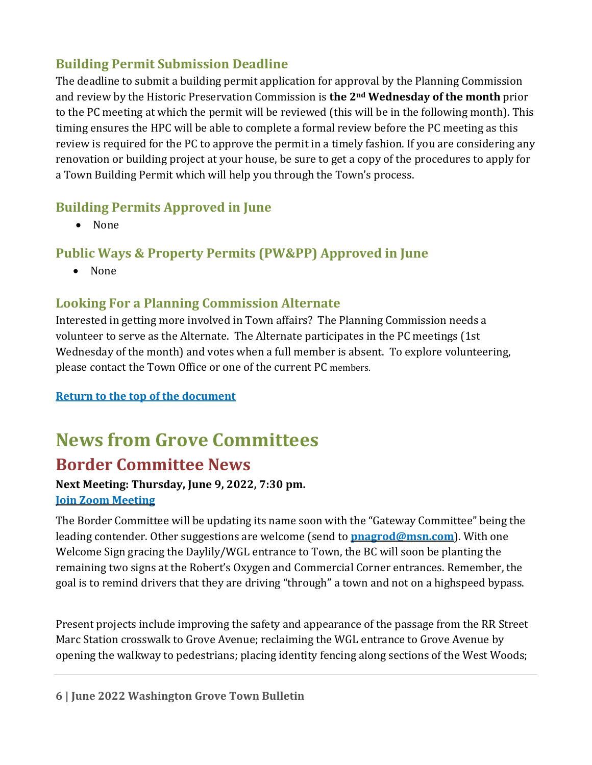#### **Building Permit Submission Deadline**

The deadline to submit a building permit application for approval by the Planning Commission and review by the Historic Preservation Commission is **the 2nd Wednesday of the month** prior to the PC meeting at which the permit will be reviewed (this will be in the following month). This timing ensures the HPC will be able to complete a formal review before the PC meeting as this review is required for the PC to approve the permit in a timely fashion. If you are considering any renovation or building project at your house, be sure to get a copy of the procedures to apply for a Town Building Permit which will help you through the Town's process.

#### **Building Permits Approved in June**

• None

#### **Public Ways & Property Permits (PW&PP) Approved in June**

• None

#### **Looking For a Planning Commission Alternate**

Interested in getting more involved in Town affairs? The Planning Commission needs a volunteer to serve as the Alternate. The Alternate participates in the PC meetings (1st Wednesday of the month) and votes when a full member is absent. To explore volunteering, please contact the Town Office or one of the current PC members.

**[Return to the top of the document](#page-0-1)**

# <span id="page-5-0"></span>**News from Grove Committees**

## <span id="page-5-1"></span>**Border Committee News**

## **Next Meeting: Thursday, June 9, 2022, 7:30 pm.**

**Join [Zoom Meeting](https://us06web.zoom.us/j/82029329650)** 

The Border Committee will be updating its name soon with the "Gateway Committee" being the leading contender. Other suggestions are welcome (send to **[pnagrod@msn.com](mailto:pnagrod@msn.com)**). With one Welcome Sign gracing the Daylily/WGL entrance to Town, the BC will soon be planting the remaining two signs at the Robert's Oxygen and Commercial Corner entrances. Remember, the goal is to remind drivers that they are driving "through" a town and not on a highspeed bypass.

Present projects include improving the safety and appearance of the passage from the RR Street Marc Station crosswalk to Grove Avenue; reclaiming the WGL entrance to Grove Avenue by opening the walkway to pedestrians; placing identity fencing along sections of the West Woods;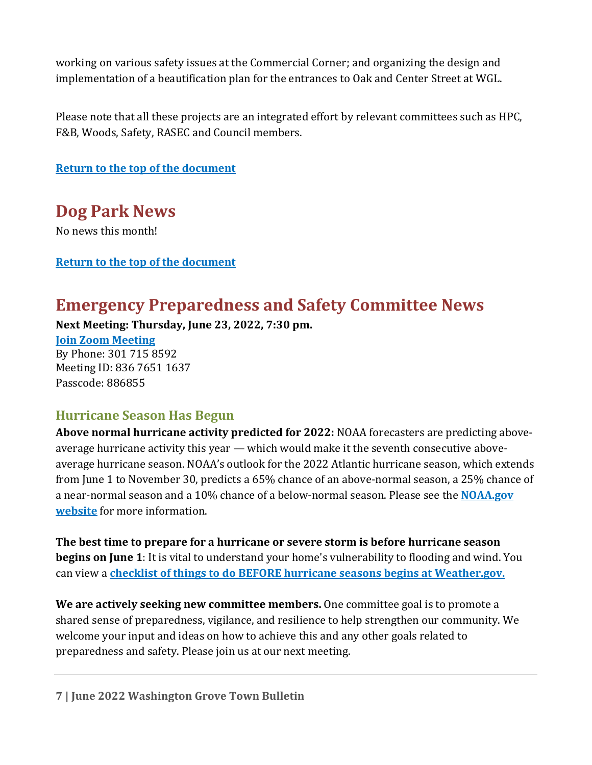working on various safety issues at the Commercial Corner; and organizing the design and implementation of a beautification plan for the entrances to Oak and Center Street at WGL.

Please note that all these projects are an integrated effort by relevant committees such as HPC, F&B, Woods, Safety, RASEC and Council members.

**[Return to the top of the document](#page-0-1)**

<span id="page-6-0"></span>**Dog Park News** No news this month!

#### **[Return to the top of the document](#page-0-1)**

## <span id="page-6-1"></span>**Emergency Preparedness and Safety Committee News**

**Next Meeting: Thursday, June 23, 2022, 7:30 pm.**

**[Join Zoom Meeting](https://us02web.zoom.us/j/83676511637?pwd=VTlVeU1Wb1pERzQ3d2hmYkpiTmFCZz09)** By Phone: 301 715 8592 Meeting ID: 836 7651 1637 Passcode: 886855

#### **Hurricane Season Has Begun**

**Above normal hurricane activity predicted for 2022:** NOAA forecasters are predicting aboveaverage hurricane activity this year — which would make it the seventh consecutive aboveaverage hurricane season. NOAA's outlook for the 2022 Atlantic hurricane season, which extends from June 1 to November 30, predicts a 65% chance of an above-normal season, a 25% chance of a near-normal season and a 10% chance of a below-normal season. Please see the **[NOAA.gov](https://www.noaa.gov/news-release/noaa-predicts-above-normal-2022-atlantic-hurricane-season)  [website](https://www.noaa.gov/news-release/noaa-predicts-above-normal-2022-atlantic-hurricane-season)** for more information.

**The best time to prepare for a hurricane or severe storm is before hurricane season begins on June 1**: It is vital to understand your home's vulnerability to flooding and wind. You can view a **[checklist of things to do BEFORE hurricane seasons begins](https://www.weather.gov/safety/hurricane-plan) at Weather.gov.** 

**We are actively seeking new committee members.** One committee goal is to promote a shared sense of preparedness, vigilance, and resilience to help strengthen our community. We welcome your input and ideas on how to achieve this and any other goals related to preparedness and safety. Please join us at our next meeting.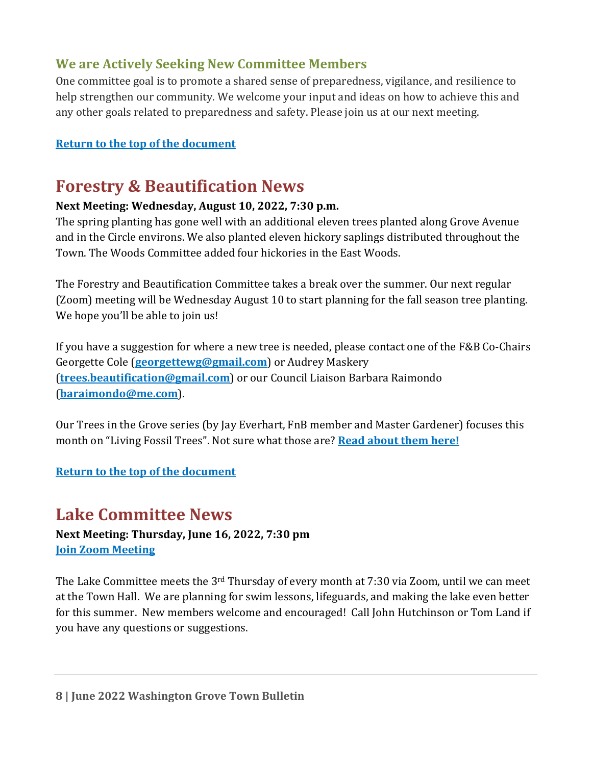#### **We are Actively Seeking New Committee Members**

One committee goal is to promote a shared sense of preparedness, vigilance, and resilience to help strengthen our community. We welcome your input and ideas on how to achieve this and any other goals related to preparedness and safety. Please join us at our next meeting.

#### **[Return to the top of the document](#page-0-1)**

## <span id="page-7-0"></span>**Forestry & Beautification News**

#### **Next Meeting: Wednesday, August 10, 2022, 7:30 p.m.**

The spring planting has gone well with an additional eleven trees planted along Grove Avenue and in the Circle environs. We also planted eleven hickory saplings distributed throughout the Town. The Woods Committee added four hickories in the East Woods.

The Forestry and Beautification Committee takes a break over the summer. Our next regular (Zoom) meeting will be Wednesday August 10 to start planning for the fall season tree planting. We hope you'll be able to join us!

If you have a suggestion for where a new tree is needed, please contact one of the F&B Co-Chairs Georgette Cole (**[georgettewg@gmail.com](mailto:georgettewg@gmail.com)**) or Audrey Maskery (**[trees.beautification@gmail.com](mailto:trees.beautification@gmail.com)**) or our Council Liaison Barbara Raimondo (**[baraimondo@me.com](mailto:baraimondo@me.com)**).

Our Trees in the Grove series (by Jay Everhart, FnB member and Master Gardener) focuses this month on "Living Fossil Trees". Not sure what those are? **[Read about them here!](https://washingtongrovemd.org/committee-news/forestry-beautification-news/flora/living-fossil-trees/)**

#### **[Return to the top of the document](#page-0-1)**

## <span id="page-7-1"></span>**Lake Committee News**

**Next Meeting: Thursday, June 16, 2022, 7:30 pm [Join Zoom Meeting](https://us02web.zoom.us/j/87172976940?pwd=VzFieWh6TU5MK2xxU0dPUEVIOEhYZz09)**

The Lake Committee meets the 3<sup>rd</sup> Thursday of every month at 7:30 via Zoom, until we can meet at the Town Hall. We are planning for swim lessons, lifeguards, and making the lake even better for this summer. New members welcome and encouraged! Call John Hutchinson or Tom Land if you have any questions or suggestions.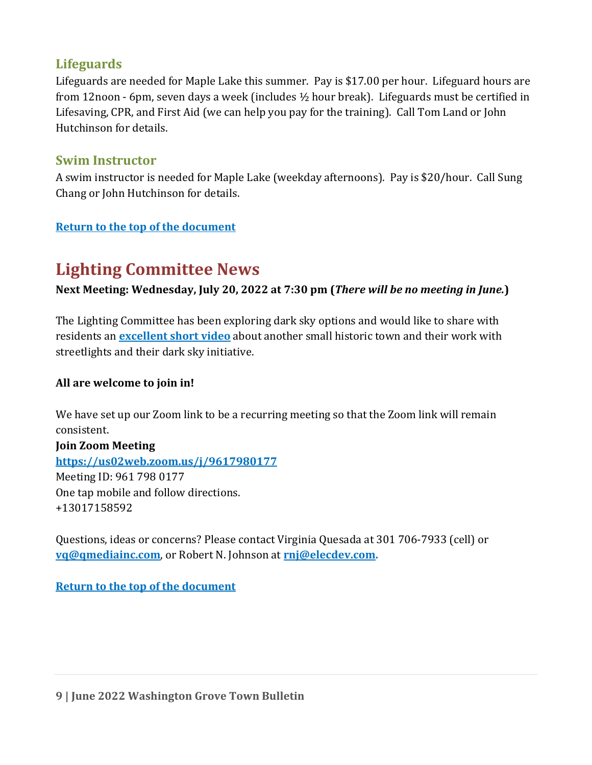#### **Lifeguards**

Lifeguards are needed for Maple Lake this summer. Pay is \$17.00 per hour. Lifeguard hours are from 12noon - 6pm, seven days a week (includes ½ hour break). Lifeguards must be certified in Lifesaving, CPR, and First Aid (we can help you pay for the training). Call Tom Land or John Hutchinson for details.

#### **Swim Instructor**

A swim instructor is needed for Maple Lake (weekday afternoons). Pay is \$20/hour. Call Sung Chang or John Hutchinson for details.

#### **[Return to the top of the document](#page-0-1)**

## <span id="page-8-0"></span>**Lighting Committee News**

**Next Meeting: Wednesday, July 20, 2022 at 7:30 pm (***There will be no meeting in June.***)**

The Lighting Committee has been exploring dark sky options and would like to share with residents an **[excellent short video](https://assembly.chq.org/chautauqua-dark-sky-initiative-2022/videos/chq-dark-sky-initiative)** about another small historic town and their work with streetlights and their dark sky initiative.

#### **All are welcome to join in!**

We have set up our Zoom link to be a recurring meeting so that the Zoom link will remain consistent.

**Join Zoom Meeting <https://us02web.zoom.us/j/9617980177>** Meeting ID: 961 798 0177 One tap mobile and follow directions. +13017158592

Questions, ideas or concerns? Please contact Virginia Quesada at 301 706-7933 (cell) or **[vq@qmediainc.com](mailto:vq@qmediainc.com)**, or Robert N. Johnson at **[rnj@elecdev.com.](mailto:rnj@elecdev.com)** 

**[Return to the top of the document](#page-0-1)**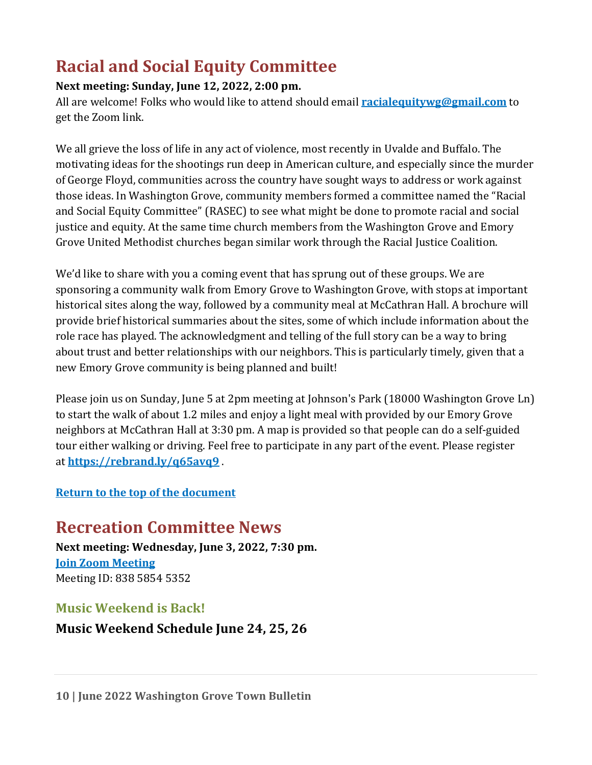## <span id="page-9-0"></span>**Racial and Social Equity Committee**

#### **Next meeting: Sunday, June 12, 2022, 2:00 pm.**

All are welcome! Folks who would like to attend should email **[racialequitywg@gmail.com](mailto:racialequitywg@gmail.com)** to get the Zoom link.

We all grieve the loss of life in any act of violence, most recently in Uvalde and Buffalo. The motivating ideas for the shootings run deep in American culture, and especially since the murder of George Floyd, communities across the country have sought ways to address or work against those ideas. In Washington Grove, community members formed a committee named the "Racial and Social Equity Committee" (RASEC) to see what might be done to promote racial and social justice and equity. At the same time church members from the Washington Grove and Emory Grove United Methodist churches began similar work through the Racial Justice Coalition.

We'd like to share with you a coming event that has sprung out of these groups. We are sponsoring a community walk from Emory Grove to Washington Grove, with stops at important historical sites along the way, followed by a community meal at McCathran Hall. A brochure will provide brief historical summaries about the sites, some of which include information about the role race has played. The acknowledgment and telling of the full story can be a way to bring about trust and better relationships with our neighbors. This is particularly timely, given that a new Emory Grove community is being planned and built!

Please join us on Sunday, June 5 at 2pm meeting at Johnson's Park (18000 Washington Grove Ln) to start the walk of about 1.2 miles and enjoy a light meal with provided by our Emory Grove neighbors at McCathran Hall at 3:30 pm. A map is provided so that people can do a self-guided tour either walking or driving. Feel free to participate in any part of the event. Please register at **<https://rebrand.ly/q65avq9>** .

#### **[Return to the top of the document](#page-0-1)**

## <span id="page-9-1"></span>**Recreation Committee News**

**Next meeting: Wednesday, June 3, 2022, 7:30 pm. [Join Zoom Meeting](https://us02web.zoom.us/j/83858545352?pwd=dXdjdUlabUJhSHFYbys1dUxvV0ZIQT09)** Meeting ID: 838 5854 5352

#### **Music Weekend is Back!**

**Music Weekend Schedule June 24, 25, 26**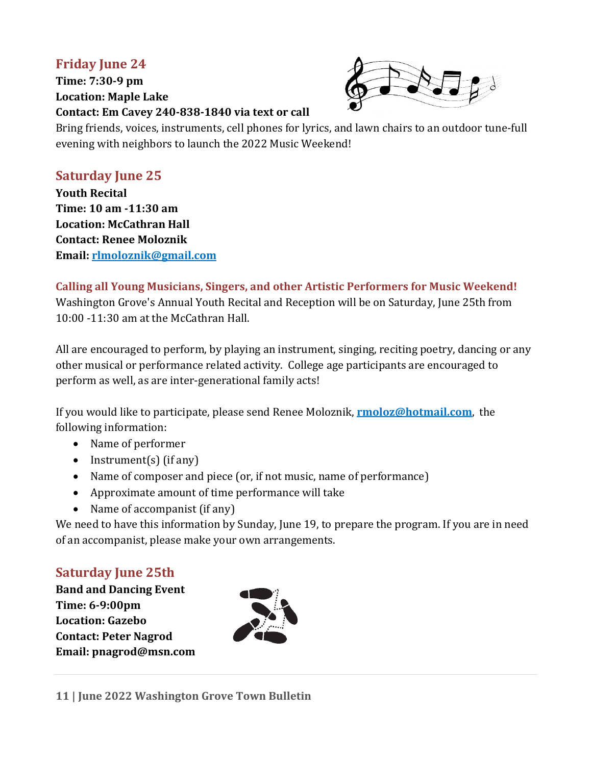#### **Friday June 24**

**Time: 7:30-9 pm Location: Maple Lake Contact: Em Cavey 240-838-1840 via text or call**



Bring friends, voices, instruments, cell phones for lyrics, and lawn chairs to an outdoor tune-full evening with neighbors to launch the 2022 Music Weekend!

#### **Saturday June 25**

**Youth Recital Time: 10 am -11:30 am Location: McCathran Hall Contact: Renee Moloznik Email: [rlmoloznik@gmail.com](mailto:rlmoloznik@gmail.com)**

**Calling all Young Musicians, Singers, and other Artistic Performers for Music Weekend!**  Washington Grove's Annual Youth Recital and Reception will be on Saturday, June 25th from 10:00 -11:30 am at the McCathran Hall.

All are encouraged to perform, by playing an instrument, singing, reciting poetry, dancing or any other musical or performance related activity. College age participants are encouraged to perform as well, as are inter-generational family acts!

If you would like to participate, please send Renee Moloznik, **[rmoloz@hotmail.com](mailto:rmoloz@hotmail.com)**, the following information:

- Name of performer
- Instrument(s) (if any)
- Name of composer and piece (or, if not music, name of performance)
- Approximate amount of time performance will take
- Name of accompanist (if any)

We need to have this information by Sunday, June 19, to prepare the program. If you are in need of an accompanist, please make your own arrangements.

#### **Saturday June 25th**

**Band and Dancing Event Time: 6-9:00pm Location: Gazebo Contact: Peter Nagrod Email: pnagrod@msn.com** 

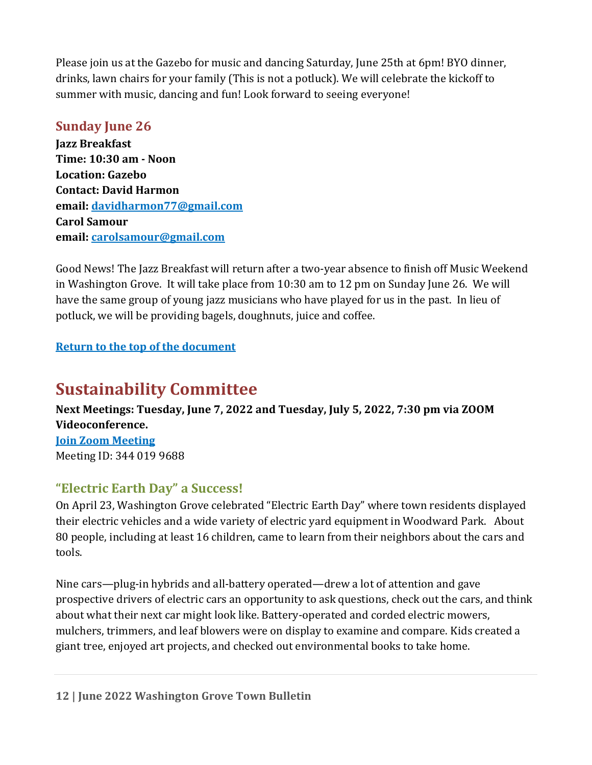Please join us at the Gazebo for music and dancing Saturday, June 25th at 6pm! BYO dinner, drinks, lawn chairs for your family (This is not a potluck). We will celebrate the kickoff to summer with music, dancing and fun! Look forward to seeing everyone!

#### **Sunday June 26**

**Jazz Breakfast Time: 10:30 am - Noon Location: Gazebo Contact: David Harmon email: [davidharmon77@gmail.com](mailto:davidharmon77@gmail.com)  Carol Samour email: [carolsamour@gmail.com](mailto:carolsamour@gmail.com)**

Good News! The Jazz Breakfast will return after a two-year absence to finish off Music Weekend in Washington Grove. It will take place from 10:30 am to 12 pm on Sunday June 26. We will have the same group of young jazz musicians who have played for us in the past. In lieu of potluck, we will be providing bagels, doughnuts, juice and coffee.

#### **[Return to the top of the document](#page-0-1)**

## <span id="page-11-0"></span>**Sustainability Committee**

**Next Meetings: Tuesday, June 7, 2022 and Tuesday, July 5, 2022, 7:30 pm via ZOOM Videoconference. [Join Zoom](https://us02web.zoom.us/j/3440199688) Meeting** Meeting ID: 344 019 9688

#### **"Electric Earth Day" a Success!**

On April 23, Washington Grove celebrated "Electric Earth Day" where town residents displayed their electric vehicles and a wide variety of electric yard equipment in Woodward Park. About 80 people, including at least 16 children, came to learn from their neighbors about the cars and tools.

Nine cars—plug-in hybrids and all-battery operated—drew a lot of attention and gave prospective drivers of electric cars an opportunity to ask questions, check out the cars, and think about what their next car might look like. Battery-operated and corded electric mowers, mulchers, trimmers, and leaf blowers were on display to examine and compare. Kids created a giant tree, enjoyed art projects, and checked out environmental books to take home.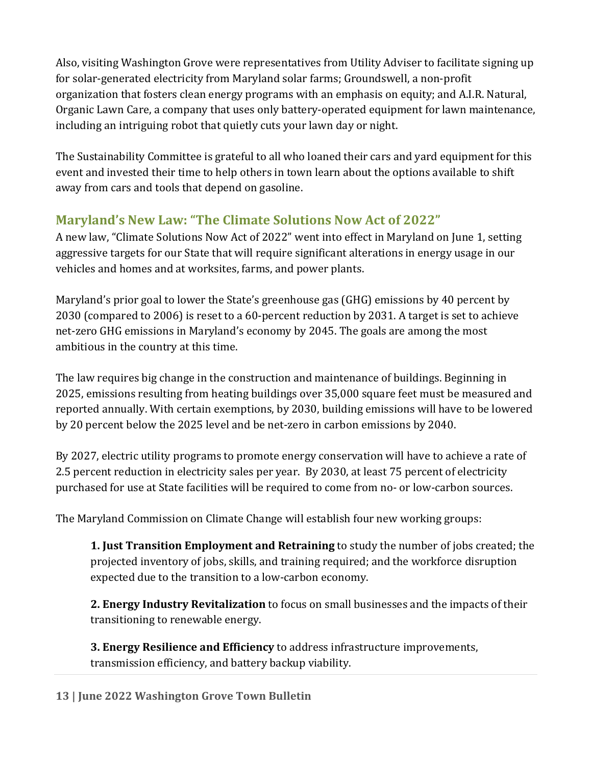Also, visiting Washington Grove were representatives from Utility Adviser to facilitate signing up for solar-generated electricity from Maryland solar farms; Groundswell, a non-profit organization that fosters clean energy programs with an emphasis on equity; and A.I.R. Natural, Organic Lawn Care, a company that uses only battery-operated equipment for lawn maintenance, including an intriguing robot that quietly cuts your lawn day or night.

The Sustainability Committee is grateful to all who loaned their cars and yard equipment for this event and invested their time to help others in town learn about the options available to shift away from cars and tools that depend on gasoline.

#### **Maryland's New Law: "The Climate Solutions Now Act of 2022"**

A new law, "Climate Solutions Now Act of 2022" went into effect in Maryland on June 1, setting aggressive targets for our State that will require significant alterations in energy usage in our vehicles and homes and at worksites, farms, and power plants.

Maryland's prior goal to lower the State's greenhouse gas (GHG) emissions by 40 percent by 2030 (compared to 2006) is reset to a 60-percent reduction by 2031. A target is set to achieve net-zero GHG emissions in Maryland's economy by 2045. The goals are among the most ambitious in the country at this time.

The law requires big change in the construction and maintenance of buildings. Beginning in 2025, emissions resulting from heating buildings over 35,000 square feet must be measured and reported annually. With certain exemptions, by 2030, building emissions will have to be lowered by 20 percent below the 2025 level and be net-zero in carbon emissions by 2040.

By 2027, electric utility programs to promote energy conservation will have to achieve a rate of 2.5 percent reduction in electricity sales per year. By 2030, at least 75 percent of electricity purchased for use at State facilities will be required to come from no- or low-carbon sources.

The Maryland Commission on Climate Change will establish four new working groups:

**1. Just Transition Employment and Retraining** to study the number of jobs created; the projected inventory of jobs, skills, and training required; and the workforce disruption expected due to the transition to a low-carbon economy.

**2. Energy Industry Revitalization** to focus on small businesses and the impacts of their transitioning to renewable energy.

**3. Energy Resilience and Efficiency** to address infrastructure improvements, transmission efficiency, and battery backup viability.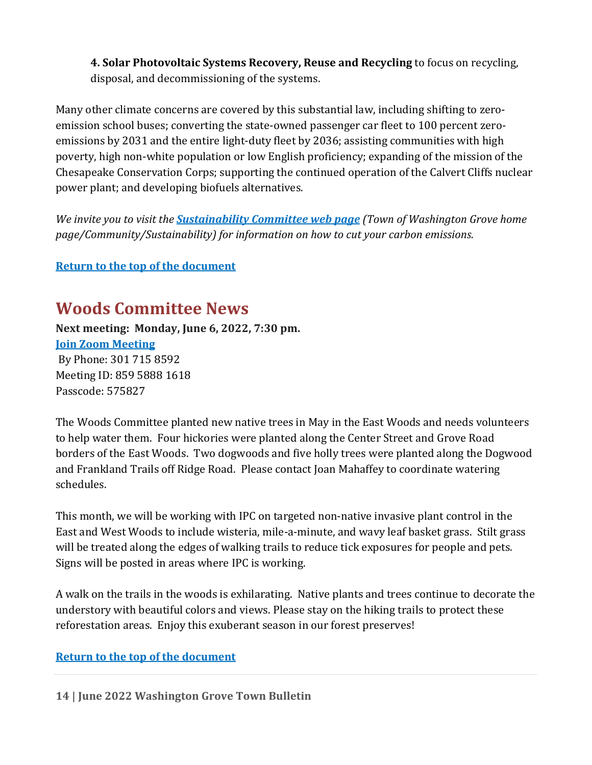**4. Solar Photovoltaic Systems Recovery, Reuse and Recycling** to focus on recycling, disposal, and decommissioning of the systems.

Many other climate concerns are covered by this substantial law, including shifting to zeroemission school buses; converting the state-owned passenger car fleet to 100 percent zeroemissions by 2031 and the entire light-duty fleet by 2036; assisting communities with high poverty, high non-white population or low English proficiency; expanding of the mission of the Chesapeake Conservation Corps; supporting the continued operation of the Calvert Cliffs nuclear power plant; and developing biofuels alternatives.

*We invite you to visit the [Sustainability Committee web page](https://washingtongrovemd.org/community/committees/sustainability-committee/) (Town of Washington Grove home page/Community/Sustainability) for information on how to cut your carbon emissions.*

#### <span id="page-13-0"></span>**[Return to the top of the document](#page-0-1)**

### **Woods Committee News**

**Next meeting: Monday, June 6, 2022, 7:30 pm. Join [Zoom Meeting](https://us02web.zoom.us/j/85958881618?pwd=R05PRE9pV2VTcGNDWlcvMVV3VkNRdz09)**  By Phone: 301 715 8592 Meeting ID: 859 5888 1618 Passcode: 575827

The Woods Committee planted new native trees in May in the East Woods and needs volunteers to help water them. Four hickories were planted along the Center Street and Grove Road borders of the East Woods. Two dogwoods and five holly trees were planted along the Dogwood and Frankland Trails off Ridge Road. Please contact Joan Mahaffey to coordinate watering schedules.

This month, we will be working with IPC on targeted non-native invasive plant control in the East and West Woods to include wisteria, mile-a-minute, and wavy leaf basket grass. Stilt grass will be treated along the edges of walking trails to reduce tick exposures for people and pets. Signs will be posted in areas where IPC is working.

A walk on the trails in the woods is exhilarating. Native plants and trees continue to decorate the understory with beautiful colors and views. Please stay on the hiking trails to protect these reforestation areas. Enjoy this exuberant season in our forest preserves!

#### **[Return to the top of the document](#page-0-1)**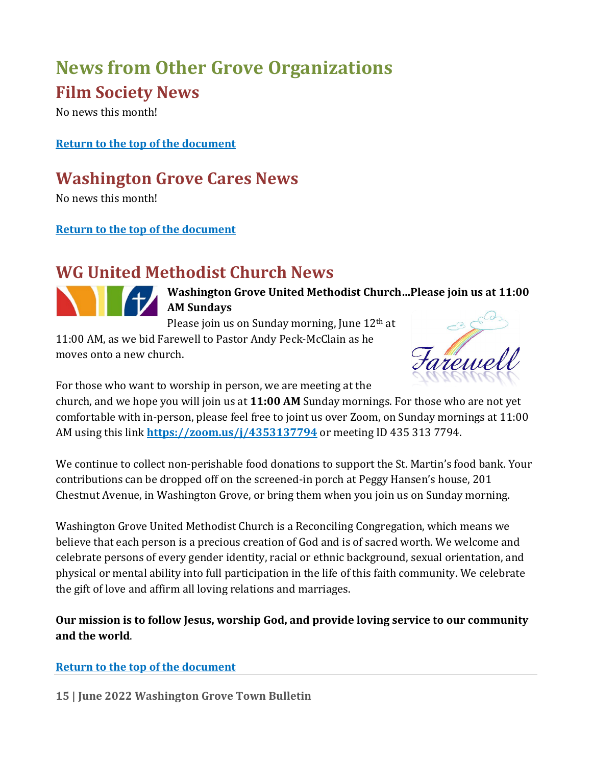# <span id="page-14-0"></span>**News from Other Grove Organizations**

## <span id="page-14-1"></span>**Film Society News**

No news this month!

#### **[Return to the top of the document](#page-0-1)**

## <span id="page-14-2"></span>**Washington Grove Cares News**

No news this month!

#### **[Return to the top of the document](#page-0-1)**

## <span id="page-14-3"></span>**WG United Methodist Church News**



**Washington Grove United Methodist Church…Please join us at 11:00 AM Sundays**

Please join us on Sunday morning, June 12<sup>th</sup> at

11:00 AM, as we bid Farewell to Pastor Andy Peck-McClain as he moves onto a new church.



For those who want to worship in person, we are meeting at the

church, and we hope you will join us at **11:00 AM** Sunday mornings. For those who are not yet comfortable with in-person, please feel free to joint us over Zoom, on Sunday mornings at 11:00 AM using this link **<https://zoom.us/j/4353137794>** or meeting ID 435 313 7794.

We continue to collect non-perishable food donations to support the St. Martin's food bank. Your contributions can be dropped off on the screened-in porch at Peggy Hansen's house, 201 Chestnut Avenue, in Washington Grove, or bring them when you join us on Sunday morning.

Washington Grove United Methodist Church is a Reconciling Congregation, which means we believe that each person is a precious creation of God and is of sacred worth. We welcome and celebrate persons of every gender identity, racial or ethnic background, sexual orientation, and physical or mental ability into full participation in the life of this faith community. We celebrate the gift of love and affirm all loving relations and marriages.

**Our mission is to follow Jesus, worship God, and provide loving service to our community and the world**.

#### **[Return to the top of the document](#page-0-1)**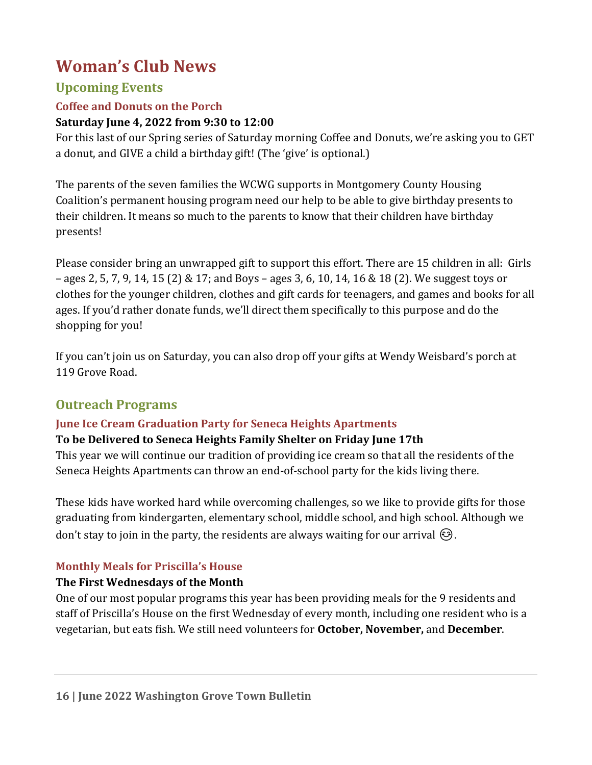## <span id="page-15-0"></span>**Woman's Club News**

#### **Upcoming Events**

#### **Coffee and Donuts on the Porch**

#### **Saturday June 4, 2022 from 9:30 to 12:00**

For this last of our Spring series of Saturday morning Coffee and Donuts, we're asking you to GET a donut, and GIVE a child a birthday gift! (The 'give' is optional.)

The parents of the seven families the WCWG supports in Montgomery County Housing Coalition's permanent housing program need our help to be able to give birthday presents to their children. It means so much to the parents to know that their children have birthday presents!

Please consider bring an unwrapped gift to support this effort. There are 15 children in all: Girls – ages 2, 5, 7, 9, 14, 15 (2) & 17; and Boys – ages 3, 6, 10, 14, 16 & 18 (2). We suggest toys or clothes for the younger children, clothes and gift cards for teenagers, and games and books for all ages. If you'd rather donate funds, we'll direct them specifically to this purpose and do the shopping for you!

If you can't join us on Saturday, you can also drop off your gifts at Wendy Weisbard's porch at 119 Grove Road.

#### **Outreach Programs**

#### **June Ice Cream Graduation Party for Seneca Heights Apartments**

#### **To be Delivered to Seneca Heights Family Shelter on Friday June 17th**

This year we will continue our tradition of providing ice cream so that all the residents of the Seneca Heights Apartments can throw an end-of-school party for the kids living there.

These kids have worked hard while overcoming challenges, so we like to provide gifts for those graduating from kindergarten, elementary school, middle school, and high school. Although we don't stay to join in the party, the residents are always waiting for our arrival  $\circledcirc$ .

#### **Monthly Meals for Priscilla's House**

#### **The First Wednesdays of the Month**

One of our most popular programs this year has been providing meals for the 9 residents and staff of Priscilla's House on the first Wednesday of every month, including one resident who is a vegetarian, but eats fish. We still need volunteers for **October, November,** and **December**.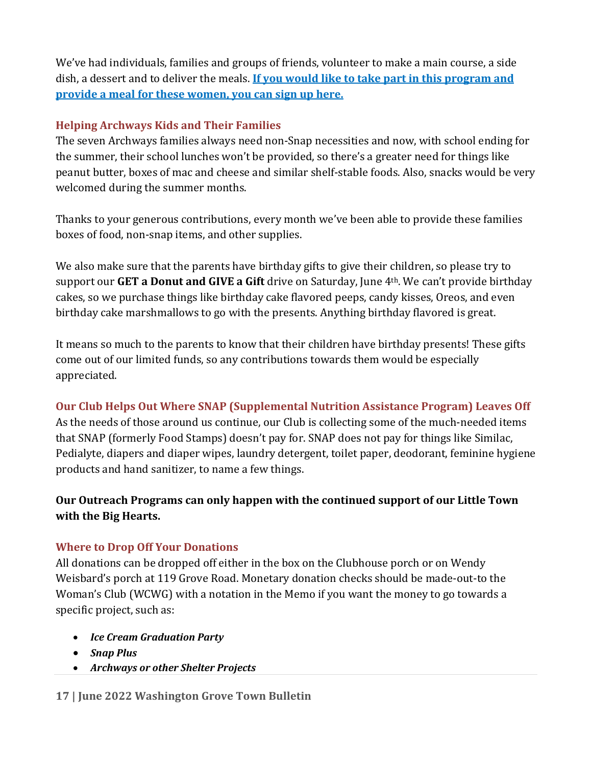We've had individuals, families and groups of friends, volunteer to make a main course, a side dish, a dessert and to deliver the meals. **[If you would like to take part in this program and](https://www.signupgenius.com/go/10c0f49a8a92da2fdc43-womens)  [provide a meal for these women, you can sign up here.](https://www.signupgenius.com/go/10c0f49a8a92da2fdc43-womens)**

#### **Helping Archways Kids and Their Families**

The seven Archways families always need non-Snap necessities and now, with school ending for the summer, their school lunches won't be provided, so there's a greater need for things like peanut butter, boxes of mac and cheese and similar shelf-stable foods. Also, snacks would be very welcomed during the summer months.

Thanks to your generous contributions, every month we've been able to provide these families boxes of food, non-snap items, and other supplies.

We also make sure that the parents have birthday gifts to give their children, so please try to support our **GET a Donut and GIVE a Gift** drive on Saturday, June 4th. We can't provide birthday cakes, so we purchase things like birthday cake flavored peeps, candy kisses, Oreos, and even birthday cake marshmallows to go with the presents. Anything birthday flavored is great.

It means so much to the parents to know that their children have birthday presents! These gifts come out of our limited funds, so any contributions towards them would be especially appreciated.

#### **Our Club Helps Out Where SNAP (Supplemental Nutrition Assistance Program) Leaves Off**

As the needs of those around us continue, our Club is collecting some of the much-needed items that SNAP (formerly Food Stamps) doesn't pay for. SNAP does not pay for things like Similac, Pedialyte, diapers and diaper wipes, laundry detergent, toilet paper, deodorant, feminine hygiene products and hand sanitizer, to name a few things.

#### **Our Outreach Programs can only happen with the continued support of our Little Town with the Big Hearts.**

#### **Where to Drop Off Your Donations**

All donations can be dropped off either in the box on the Clubhouse porch or on Wendy Weisbard's porch at 119 Grove Road. Monetary donation checks should be made-out-to the Woman's Club (WCWG) with a notation in the Memo if you want the money to go towards a specific project, such as:

- *Ice Cream Graduation Party*
- *Snap Plus*
- *Archways or other Shelter Projects*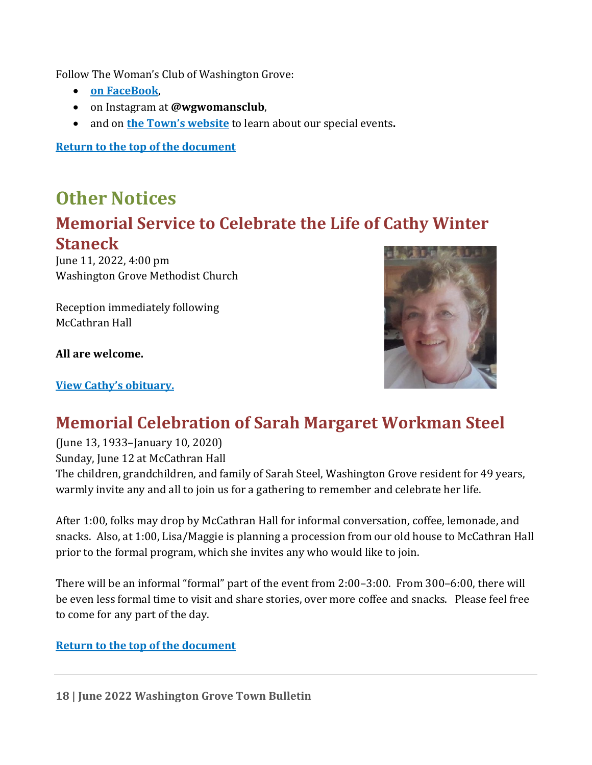Follow The Woman's Club of Washington Grove:

- **[on FaceBook](https://www.facebook.com/groups/4521706917897331)**,
- on Instagram at **@wgwomansclub**,
- and on **[the Town's website](https://washingtongrovemd.org/community/social-recreational/womans-club/)** to learn about our special events**.**

**[Return to the top of the document](#page-0-1)**

## <span id="page-17-0"></span>**Other Notices Memorial Service to Celebrate the Life of Cathy Winter Staneck**

June 11, 2022, 4:00 pm Washington Grove Methodist Church

Reception immediately following McCathran Hall

**All are welcome.**

#### **[View Cathy's obituary.](https://www.gettysburgtimes.com/obituaries/article_7e881b54-2194-5cb4-af73-0314568b7be1.html)**



## **Memorial Celebration of Sarah Margaret Workman Steel**

(June 13, 1933–January 10, 2020)

Sunday, June 12 at McCathran Hall

The children, grandchildren, and family of Sarah Steel, Washington Grove resident for 49 years, warmly invite any and all to join us for a gathering to remember and celebrate her life.

After 1:00, folks may drop by McCathran Hall for informal conversation, coffee, lemonade, and snacks. Also, at 1:00, Lisa/Maggie is planning a procession from our old house to McCathran Hall prior to the formal program, which she invites any who would like to join.

There will be an informal "formal" part of the event from 2:00–3:00. From 300–6:00, there will be even less formal time to visit and share stories, over more coffee and snacks. Please feel free to come for any part of the day.

#### <span id="page-17-1"></span>**[Return to the top of the document](#page-0-1)**